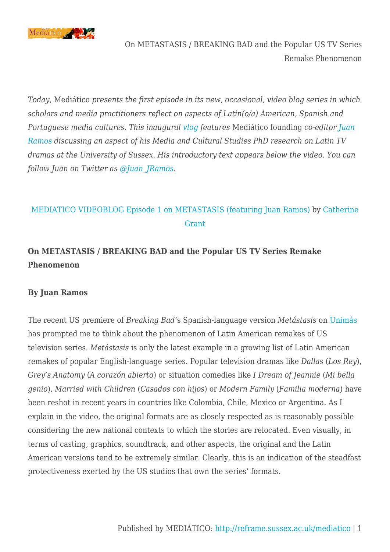

On METASTASIS / BREAKING BAD and the Popular US TV Series Remake Phenomenon

*Today*, Mediático *presents the first episode in its new, occasional, video blog series in which scholars and media practitioners reflect on aspects of Latin(o/a) American, Spanish and Portuguese media cultures. This inaugural [vlog](http://en.wikipedia.org/wiki/Video_blog) features* Mediático founding *co-editor [Juan](http://www.sussex.ac.uk/profiles/307331) [Ramos](http://www.sussex.ac.uk/profiles/307331) discussing an aspect of his Media and Cultural Studies PhD research on Latin TV dramas at the University of Sussex*. *His introductory text appears below the video. You can follow Juan on Twitter as [@Juan\\_JRamos](https://twitter.com/Juan_JRamos).*

## [MEDIATICO VIDEOBLOG Episode 1 on METASTASIS \(featuring Juan Ramos\)](http://vimeo.com/103250923) by [Catherine](http://vimeo.com/filmstudiesff) [Grant](http://vimeo.com/filmstudiesff)

## **On METASTASIS / BREAKING BAD and the Popular US TV Series Remake Phenomenon**

## **By Juan Ramos**

The recent US premiere of *Breaking Bad*'s Spanish-language version *Metástasis* on [Unimás](http://tv.univision.com/unimas/) has prompted me to think about the phenomenon of Latin American remakes of US television series. *Metástasis* is only the latest example in a growing list of Latin American remakes of popular English-language series. Popular television dramas like *Dallas* (*Los Rey*), *Grey's Anatomy* (*A corazón abierto*) or situation comedies like *I Dream of Jeannie* (*Mi bella genio*), *Married with Children* (*Casados con hijos*) or *Modern Family* (*Familia moderna*) have been reshot in recent years in countries like Colombia, Chile, Mexico or Argentina. As I explain in the video, the original formats are as closely respected as is reasonably possible considering the new national contexts to which the stories are relocated. Even visually, in terms of casting, graphics, soundtrack, and other aspects, the original and the Latin American versions tend to be extremely similar. Clearly, this is an indication of the steadfast protectiveness exerted by the US studios that own the series' formats.